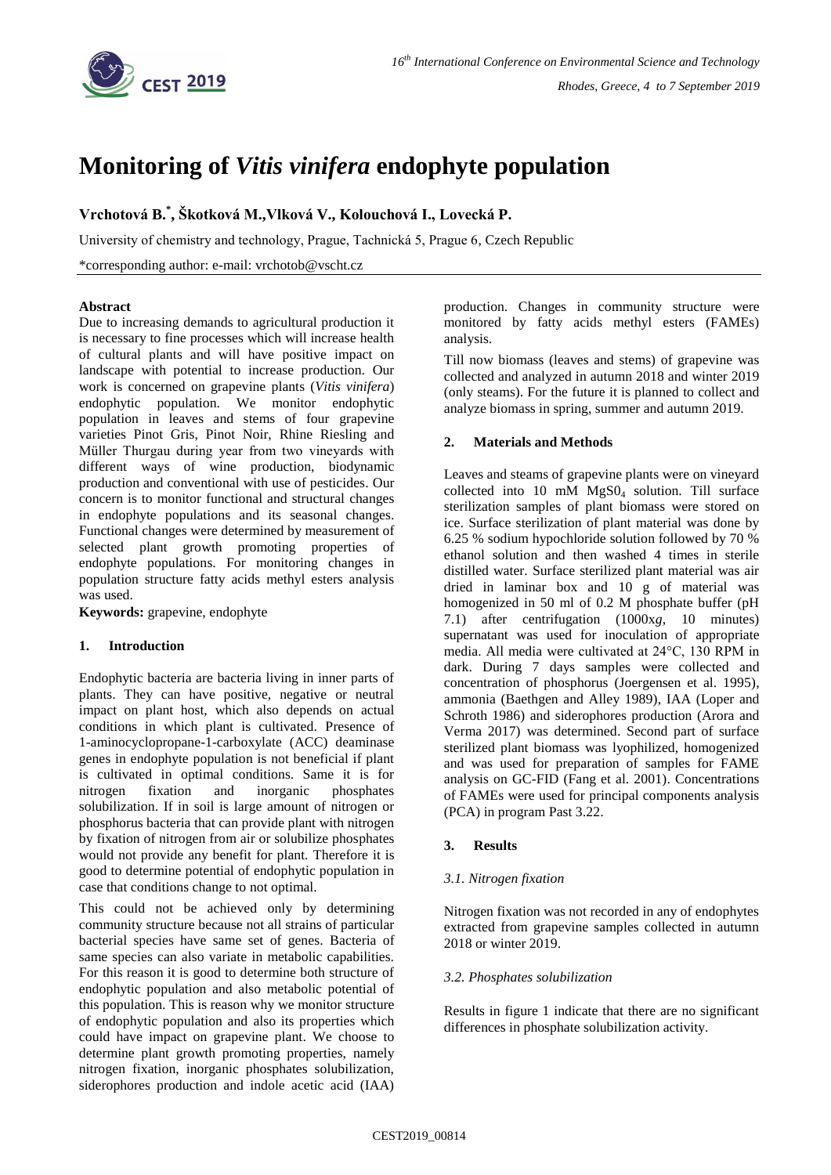

# **Monitoring of** *Vitis vinifera* **endophyte population**

**Vrchotová B. \* , Škotková M.,Vlková V., Kolouchová I., Lovecká P.**

University of chemistry and technology, Prague, Tachnická 5, Prague 6, Czech Republic

\*corresponding author: e-mail: vrchotob@vscht.cz

# **Abstract**

Due to increasing demands to agricultural production it is necessary to fine processes which will increase health of cultural plants and will have positive impact on landscape with potential to increase production. Our work is concerned on grapevine plants (*Vitis vinifera*) endophytic population. We monitor endophytic population in leaves and stems of four grapevine varieties Pinot Gris, Pinot Noir, Rhine Riesling and Müller Thurgau during year from two vineyards with different ways of wine production, biodynamic production and conventional with use of pesticides. Our concern is to monitor functional and structural changes in endophyte populations and its seasonal changes. Functional changes were determined by measurement of selected plant growth promoting properties of endophyte populations. For monitoring changes in population structure fatty acids methyl esters analysis was used.

**Keywords:** grapevine, endophyte

# **1. Introduction**

Endophytic bacteria are bacteria living in inner parts of plants. They can have positive, negative or neutral impact on plant host, which also depends on actual conditions in which plant is cultivated. Presence of 1-aminocyclopropane-1-carboxylate (ACC) deaminase genes in endophyte population is not beneficial if plant is cultivated in optimal conditions. Same it is for nitrogen fixation and inorganic phosphates solubilization. If in soil is large amount of nitrogen or phosphorus bacteria that can provide plant with nitrogen by fixation of nitrogen from air or solubilize phosphates would not provide any benefit for plant. Therefore it is good to determine potential of endophytic population in case that conditions change to not optimal.

This could not be achieved only by determining community structure because not all strains of particular bacterial species have same set of genes. Bacteria of same species can also variate in metabolic capabilities. For this reason it is good to determine both structure of endophytic population and also metabolic potential of this population. This is reason why we monitor structure of endophytic population and also its properties which could have impact on grapevine plant. We choose to determine plant growth promoting properties, namely nitrogen fixation, inorganic phosphates solubilization, siderophores production and indole acetic acid (IAA) production. Changes in community structure were monitored by fatty acids methyl esters (FAMEs) analysis.

Till now biomass (leaves and stems) of grapevine was collected and analyzed in autumn 2018 and winter 2019 (only steams). For the future it is planned to collect and analyze biomass in spring, summer and autumn 2019.

# **2. Materials and Methods**

Leaves and steams of grapevine plants were on vineyard collected into 10 mM MgS0<sup>4</sup> solution. Till surface sterilization samples of plant biomass were stored on ice. Surface sterilization of plant material was done by 6.25 % sodium hypochloride solution followed by 70 % ethanol solution and then washed 4 times in sterile distilled water. Surface sterilized plant material was air dried in laminar box and 10 g of material was homogenized in 50 ml of 0.2 M phosphate buffer (pH 7.1) after centrifugation (1000x*g*, 10 minutes) supernatant was used for inoculation of appropriate media. All media were cultivated at 24°C, 130 RPM in dark. During 7 days samples were collected and concentration of phosphorus (Joergensen et al. 1995), ammonia (Baethgen and Alley 1989), IAA (Loper and Schroth 1986) and siderophores production (Arora and Verma 2017) was determined. Second part of surface sterilized plant biomass was lyophilized, homogenized and was used for preparation of samples for FAME analysis on GC-FID (Fang et al. 2001). Concentrations of FAMEs were used for principal components analysis (PCA) in program Past 3.22.

# **3. Results**

# *3.1. Nitrogen fixation*

Nitrogen fixation was not recorded in any of endophytes extracted from grapevine samples collected in autumn 2018 or winter 2019.

# *3.2. Phosphates solubilization*

Results in figure 1 indicate that there are no significant differences in phosphate solubilization activity.